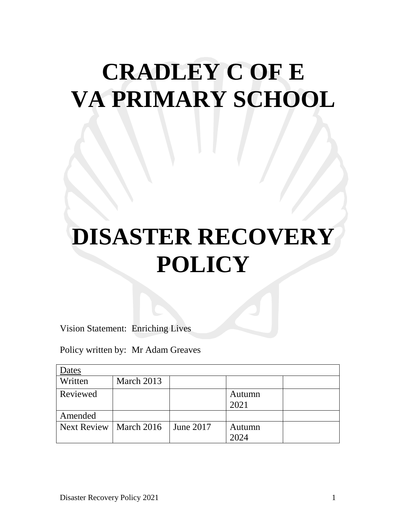## **CRADLEY C OF E VA PRIMARY SCHOOL**

# **DISASTER RECOVERY POLICY**

Vision Statement: Enriching Lives

Policy written by: Mr Adam Greaves

| Dates              |                    |           |        |  |  |
|--------------------|--------------------|-----------|--------|--|--|
| Written            | March 2013         |           |        |  |  |
| Reviewed           |                    |           | Autumn |  |  |
|                    |                    |           | 2021   |  |  |
| Amended            |                    |           |        |  |  |
| <b>Next Review</b> | $\vert$ March 2016 | June 2017 | Autumn |  |  |
|                    |                    |           | 2024   |  |  |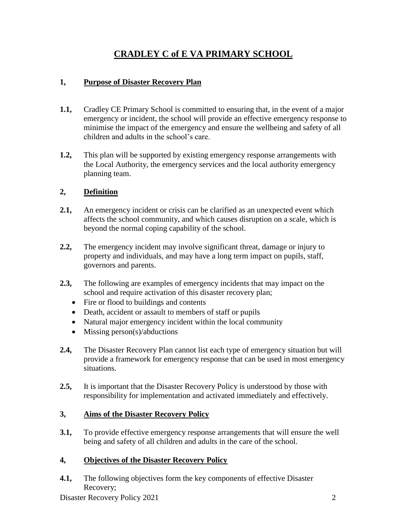## **CRADLEY C of E VA PRIMARY SCHOOL**

#### **1, Purpose of Disaster Recovery Plan**

- **1.1,** Cradley CE Primary School is committed to ensuring that, in the event of a major emergency or incident, the school will provide an effective emergency response to minimise the impact of the emergency and ensure the wellbeing and safety of all children and adults in the school's care.
- **1.2,** This plan will be supported by existing emergency response arrangements with the Local Authority, the emergency services and the local authority emergency planning team.

#### **2, Definition**

- **2.1,** An emergency incident or crisis can be clarified as an unexpected event which affects the school community, and which causes disruption on a scale, which is beyond the normal coping capability of the school.
- **2.2,** The emergency incident may involve significant threat, damage or injury to property and individuals, and may have a long term impact on pupils, staff, governors and parents.
- **2.3,** The following are examples of emergency incidents that may impact on the school and require activation of this disaster recovery plan;
	- Fire or flood to buildings and contents
	- Death, accident or assault to members of staff or pupils
	- Natural major emergency incident within the local community
	- $\bullet$  Missing person(s)/abductions
- **2.4,** The Disaster Recovery Plan cannot list each type of emergency situation but will provide a framework for emergency response that can be used in most emergency situations.
- **2.5,** It is important that the Disaster Recovery Policy is understood by those with responsibility for implementation and activated immediately and effectively.

#### **3, Aims of the Disaster Recovery Policy**

**3.1,** To provide effective emergency response arrangements that will ensure the well being and safety of all children and adults in the care of the school.

#### **4, Objectives of the Disaster Recovery Policy**

**4.1,** The following objectives form the key components of effective Disaster Recovery;

Disaster Recovery Policy 2021 2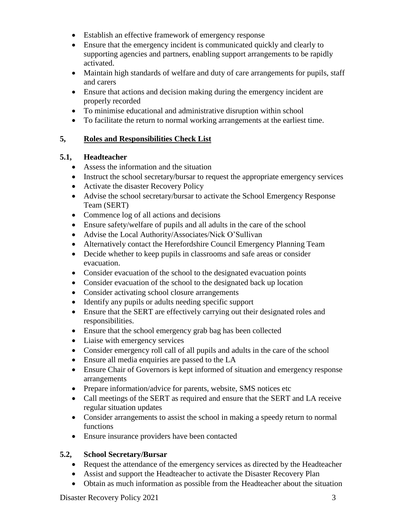- Establish an effective framework of emergency response
- Ensure that the emergency incident is communicated quickly and clearly to supporting agencies and partners, enabling support arrangements to be rapidly activated.
- Maintain high standards of welfare and duty of care arrangements for pupils, staff and carers
- Ensure that actions and decision making during the emergency incident are properly recorded
- To minimise educational and administrative disruption within school
- To facilitate the return to normal working arrangements at the earliest time.

#### **5, Roles and Responsibilities Check List**

#### **5.1, Headteacher**

- Assess the information and the situation
- Instruct the school secretary/bursar to request the appropriate emergency services
- Activate the disaster Recovery Policy
- Advise the school secretary/bursar to activate the School Emergency Response Team (SERT)
- Commence log of all actions and decisions
- Ensure safety/welfare of pupils and all adults in the care of the school
- Advise the Local Authority/Associates/Nick O'Sullivan
- Alternatively contact the Herefordshire Council Emergency Planning Team
- Decide whether to keep pupils in classrooms and safe areas or consider evacuation.
- Consider evacuation of the school to the designated evacuation points
- Consider evacuation of the school to the designated back up location
- Consider activating school closure arrangements
- Identify any pupils or adults needing specific support
- Ensure that the SERT are effectively carrying out their designated roles and responsibilities.
- Ensure that the school emergency grab bag has been collected
- Liaise with emergency services
- Consider emergency roll call of all pupils and adults in the care of the school
- Ensure all media enquiries are passed to the LA
- Ensure Chair of Governors is kept informed of situation and emergency response arrangements
- Prepare information/advice for parents, website, SMS notices etc
- Call meetings of the SERT as required and ensure that the SERT and LA receive regular situation updates
- Consider arrangements to assist the school in making a speedy return to normal functions
- Ensure insurance providers have been contacted

#### **5.2, School Secretary/Bursar**

- Request the attendance of the emergency services as directed by the Headteacher
- Assist and support the Headteacher to activate the Disaster Recovery Plan
- Obtain as much information as possible from the Headteacher about the situation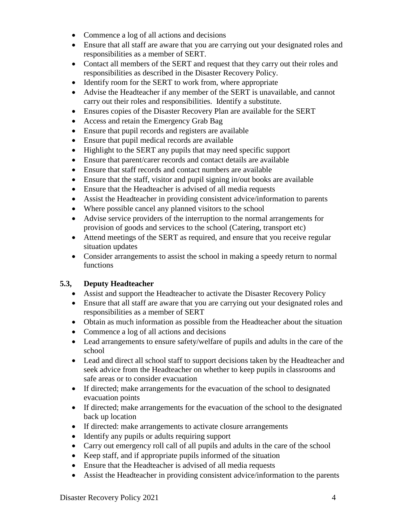- Commence a log of all actions and decisions
- Ensure that all staff are aware that you are carrying out your designated roles and responsibilities as a member of SERT.
- Contact all members of the SERT and request that they carry out their roles and responsibilities as described in the Disaster Recovery Policy.
- Identify room for the SERT to work from, where appropriate
- Advise the Headteacher if any member of the SERT is unavailable, and cannot carry out their roles and responsibilities. Identify a substitute.
- Ensures copies of the Disaster Recovery Plan are available for the SERT
- Access and retain the Emergency Grab Bag
- Ensure that pupil records and registers are available
- Ensure that pupil medical records are available
- Highlight to the SERT any pupils that may need specific support
- Ensure that parent/carer records and contact details are available
- Ensure that staff records and contact numbers are available
- Ensure that the staff, visitor and pupil signing in/out books are available
- Ensure that the Headteacher is advised of all media requests
- Assist the Headteacher in providing consistent advice/information to parents
- Where possible cancel any planned visitors to the school
- Advise service providers of the interruption to the normal arrangements for provision of goods and services to the school (Catering, transport etc)
- Attend meetings of the SERT as required, and ensure that you receive regular situation updates
- Consider arrangements to assist the school in making a speedy return to normal functions

#### **5.3, Deputy Headteacher**

- Assist and support the Headteacher to activate the Disaster Recovery Policy
- Ensure that all staff are aware that you are carrying out your designated roles and responsibilities as a member of SERT
- Obtain as much information as possible from the Headteacher about the situation
- Commence a log of all actions and decisions
- Lead arrangements to ensure safety/welfare of pupils and adults in the care of the school
- Lead and direct all school staff to support decisions taken by the Headteacher and seek advice from the Headteacher on whether to keep pupils in classrooms and safe areas or to consider evacuation
- If directed; make arrangements for the evacuation of the school to designated evacuation points
- If directed; make arrangements for the evacuation of the school to the designated back up location
- If directed: make arrangements to activate closure arrangements
- Identify any pupils or adults requiring support
- Carry out emergency roll call of all pupils and adults in the care of the school
- Keep staff, and if appropriate pupils informed of the situation
- Ensure that the Headteacher is advised of all media requests
- Assist the Headteacher in providing consistent advice/information to the parents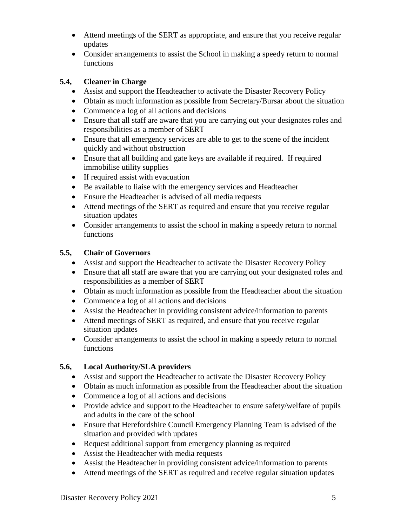- Attend meetings of the SERT as appropriate, and ensure that you receive regular updates
- Consider arrangements to assist the School in making a speedy return to normal functions

#### **5.4, Cleaner in Charge**

- Assist and support the Headteacher to activate the Disaster Recovery Policy
- Obtain as much information as possible from Secretary/Bursar about the situation
- Commence a log of all actions and decisions
- Ensure that all staff are aware that you are carrying out your designates roles and responsibilities as a member of SERT
- Ensure that all emergency services are able to get to the scene of the incident quickly and without obstruction
- Ensure that all building and gate keys are available if required. If required immobilise utility supplies
- If required assist with evacuation
- Be available to liaise with the emergency services and Headteacher
- Ensure the Headteacher is advised of all media requests
- Attend meetings of the SERT as required and ensure that you receive regular situation updates
- Consider arrangements to assist the school in making a speedy return to normal functions

#### **5.5, Chair of Governors**

- Assist and support the Headteacher to activate the Disaster Recovery Policy
- Ensure that all staff are aware that you are carrying out your designated roles and responsibilities as a member of SERT
- Obtain as much information as possible from the Headteacher about the situation
- Commence a log of all actions and decisions
- Assist the Headteacher in providing consistent advice/information to parents
- Attend meetings of SERT as required, and ensure that you receive regular situation updates
- Consider arrangements to assist the school in making a speedy return to normal functions

#### **5.6, Local Authority/SLA providers**

- Assist and support the Headteacher to activate the Disaster Recovery Policy
- Obtain as much information as possible from the Headteacher about the situation
- Commence a log of all actions and decisions
- Provide advice and support to the Headteacher to ensure safety/welfare of pupils and adults in the care of the school
- Ensure that Herefordshire Council Emergency Planning Team is advised of the situation and provided with updates
- Request additional support from emergency planning as required
- Assist the Headteacher with media requests
- Assist the Headteacher in providing consistent advice/information to parents
- Attend meetings of the SERT as required and receive regular situation updates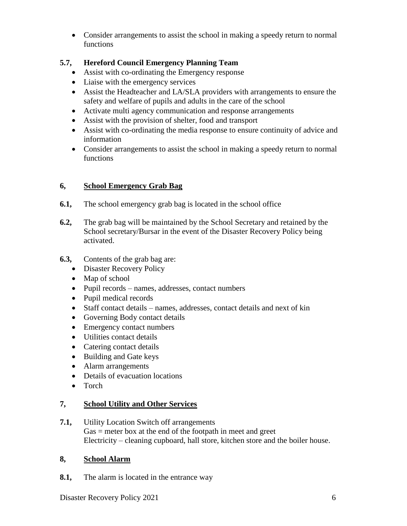Consider arrangements to assist the school in making a speedy return to normal functions

#### **5.7, Hereford Council Emergency Planning Team**

- Assist with co-ordinating the Emergency response
- Liaise with the emergency services
- Assist the Headteacher and LA/SLA providers with arrangements to ensure the safety and welfare of pupils and adults in the care of the school
- Activate multi agency communication and response arrangements
- Assist with the provision of shelter, food and transport
- Assist with co-ordinating the media response to ensure continuity of advice and information
- Consider arrangements to assist the school in making a speedy return to normal functions

#### **6, School Emergency Grab Bag**

- **6.1,** The school emergency grab bag is located in the school office
- **6.2,** The grab bag will be maintained by the School Secretary and retained by the School secretary/Bursar in the event of the Disaster Recovery Policy being activated.
- **6.3,** Contents of the grab bag are:
	- Disaster Recovery Policy
	- Map of school
	- Pupil records names, addresses, contact numbers
	- Pupil medical records
	- Staff contact details names, addresses, contact details and next of kin
	- Governing Body contact details
	- Emergency contact numbers
	- Utilities contact details
	- Catering contact details
	- Building and Gate keys
	- Alarm arrangements
	- Details of evacuation locations
	- Torch

#### **7, School Utility and Other Services**

**7.1,** Utility Location Switch off arrangements Gas = meter box at the end of the footpath in meet and greet Electricity – cleaning cupboard, hall store, kitchen store and the boiler house.

#### **8, School Alarm**

**8.1,** The alarm is located in the entrance way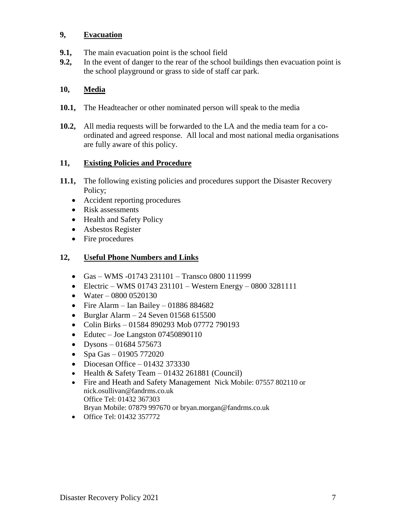#### **9, Evacuation**

- **9.1,** The main evacuation point is the school field
- **9.2,** In the event of danger to the rear of the school buildings then evacuation point is the school playground or grass to side of staff car park.

#### **10, Media**

- **10.1,** The Headteacher or other nominated person will speak to the media
- **10.2,** All media requests will be forwarded to the LA and the media team for a coordinated and agreed response. All local and most national media organisations are fully aware of this policy.

#### **11, Existing Policies and Procedure**

- **11.1,** The following existing policies and procedures support the Disaster Recovery Policy;
	- Accident reporting procedures
	- Risk assessments
	- Health and Safety Policy
	- Asbestos Register
	- Fire procedures

#### **12, Useful Phone Numbers and Links**

- Gas WMS -01743 231101 Transco 0800 111999
- Electric WMS 01743 231101 Western Energy 0800 3281111
- Water 0800 0520130
- Fire Alarm Ian Bailey 01886 884682
- $\bullet$  Burglar Alarm 24 Seven 01568 615500
- Colin Birks 01584 890293 Mob 07772 790193
- Edutec Joe Langston 07450890110
- Dysons 01684 575673
- Spa Gas 01905 772020
- $\bullet$  Diocesan Office 01432 373330
- $\bullet$  Health & Safety Team 01432 261881 (Council)
- Fire and Heath and Safety Management Nick Mobile: 07557 802110 or nick.osullivan@fandrms.co.uk Office Tel: 01432 367303 Bryan Mobile: 07879 997670 or bryan.morgan@fandrms.co.uk
- Office Tel: 01432 357772